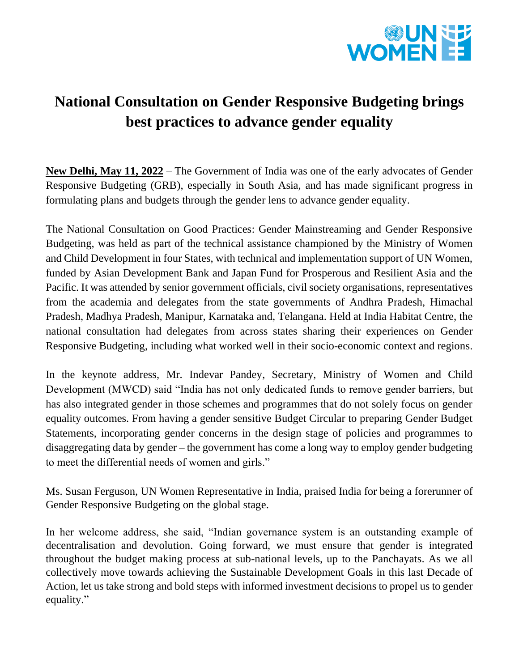

## **National Consultation on Gender Responsive Budgeting brings best practices to advance gender equality**

**New Delhi, May 11, 2022** – The Government of India was one of the early advocates of Gender Responsive Budgeting (GRB), especially in South Asia, and has made significant progress in formulating plans and budgets through the gender lens to advance gender equality.

The National Consultation on Good Practices: Gender Mainstreaming and Gender Responsive Budgeting, was held as part of the technical assistance championed by the Ministry of Women and Child Development in four States, with technical and implementation support of UN Women, funded by Asian Development Bank and Japan Fund for Prosperous and Resilient Asia and the Pacific. It was attended by senior government officials, civil society organisations, representatives from the academia and delegates from the state governments of Andhra Pradesh, Himachal Pradesh, Madhya Pradesh, Manipur, Karnataka and, Telangana. Held at India Habitat Centre, the national consultation had delegates from across states sharing their experiences on Gender Responsive Budgeting, including what worked well in their socio-economic context and regions.

In the keynote address, Mr. Indevar Pandey, Secretary, Ministry of Women and Child Development (MWCD) said "India has not only dedicated funds to remove gender barriers, but has also integrated gender in those schemes and programmes that do not solely focus on gender equality outcomes. From having a gender sensitive Budget Circular to preparing Gender Budget Statements, incorporating gender concerns in the design stage of policies and programmes to disaggregating data by gender – the government has come a long way to employ gender budgeting to meet the differential needs of women and girls."

Ms. Susan Ferguson, UN Women Representative in India, praised India for being a forerunner of Gender Responsive Budgeting on the global stage.

In her welcome address, she said, "Indian governance system is an outstanding example of decentralisation and devolution. Going forward, we must ensure that gender is integrated throughout the budget making process at sub-national levels, up to the Panchayats. As we all collectively move towards achieving the Sustainable Development Goals in this last Decade of Action, let us take strong and bold steps with informed investment decisions to propel us to gender equality."